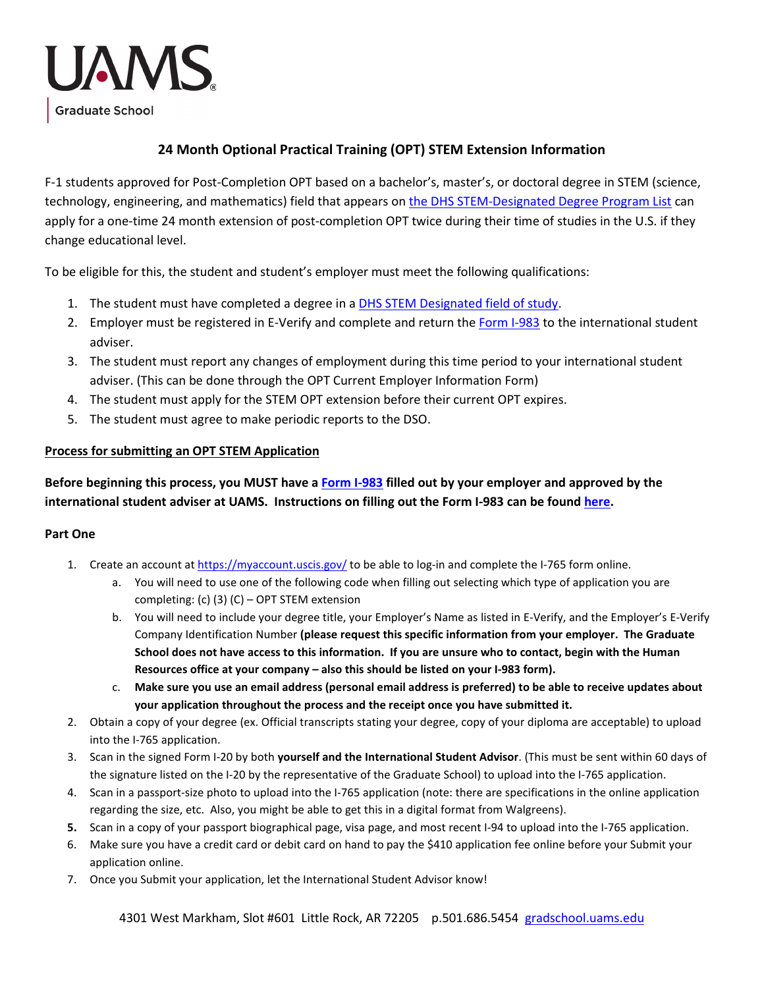

## **24 Month Optional Practical Training (OPT) STEM Extension Information**

F-1 students approved for Post-Completion OPT based on a bachelor's, master's, or doctoral degree in STEM (science, technology, engineering, and mathematics) field that appears on [the DHS STEM-Designated Degree Program List](https://www.ice.gov/doclib/sevis/pdf/stemList2022.pdf) can apply for a one-time 24 month extension of post-completion OPT twice during their time of studies in the U.S. if they change educational level.

To be eligible for this, the student and student's employer must meet the following qualifications:

- 1. The student must have completed a degree in [a DHS STEM Designated field of study.](https://www.ice.gov/doclib/sevis/pdf/stemList2022.pdf)
- 2. Employer must be registered in E-Verify and complete and return the [Form I-983](https://www.ice.gov/doclib/sevis/pdf/i983.pdf) to the international student adviser.
- 3. The student must report any changes of employment during this time period to your international student adviser. (This can be done through the OPT Current Employer Information Form)
- 4. The student must apply for the STEM OPT extension before their current OPT expires.
- 5. The student must agree to make periodic reports to the DSO.

## **Process for submitting an OPT STEM Application**

**Before beginning this process, you MUST have [a Form I-983](https://www.ice.gov/doclib/sevis/pdf/i983.pdf) filled out by your employer and approved by the international student adviser at UAMS. Instructions on filling out the Form I-983 can be found [here.](https://www.ice.gov/doclib/sevis/pdf/i983Instructions.pdf)**

## **Part One**

- 1. Create an account a[t https://myaccount.uscis.gov/](https://myaccount.uscis.gov/) to be able to log-in and complete the I-765 form online.
	- a. You will need to use one of the following code when filling out selecting which type of application you are completing: (c) (3) (C) – OPT STEM extension
	- b. You will need to include your degree title, your Employer's Name as listed in E-Verify, and the Employer's E-Verify Company Identification Number **(please request this specific information from your employer. The Graduate School does not have access to this information. If you are unsure who to contact, begin with the Human Resources office at your company – also this should be listed on your I-983 form).**
	- c. **Make sure you use an email address (personal email address is preferred) to be able to receive updates about your application throughout the process and the receipt once you have submitted it.**
- 2. Obtain a copy of your degree (ex. Official transcripts stating your degree, copy of your diploma are acceptable) to upload into the I-765 application.
- 3. Scan in the signed Form I-20 by both **yourself and the International Student Advisor**. (This must be sent within 60 days of the signature listed on the I-20 by the representative of the Graduate School) to upload into the I-765 application.
- 4. Scan in a passport-size photo to upload into the I-765 application (note: there are specifications in the online application regarding the size, etc. Also, you might be able to get this in a digital format from Walgreens).
- **5.** Scan in a copy of your passport biographical page, visa page, and most recent I-94 to upload into the I-765 application.
- 6. Make sure you have a credit card or debit card on hand to pay the \$410 application fee online before your Submit your application online.
- 7. Once you Submit your application, let the International Student Advisor know!